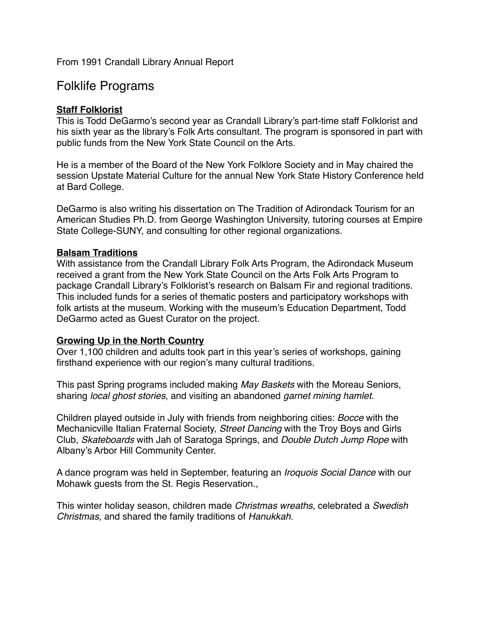From 1991 Crandall Library Annual Report

# Folklife Programs

## **Staff Folklorist**

This is Todd DeGarmo's second year as Crandall Library's part-time staff Folklorist and his sixth year as the library's Folk Arts consultant. The program is sponsored in part with public funds from the New York State Council on the Arts.

He is a member of the Board of the New York Folklore Society and in May chaired the session Upstate Material Culture for the annual New York State History Conference held at Bard College.

DeGarmo is also writing his dissertation on The Tradition of Adirondack Tourism for an American Studies Ph.D. from George Washington University, tutoring courses at Empire State College-SUNY, and consulting for other regional organizations.

## **Balsam Traditions**

With assistance from the Crandall Library Folk Arts Program, the Adirondack Museum received a grant from the New York State Council on the Arts Folk Arts Program to package Crandall Library's Folklorist's research on Balsam Fir and regional traditions. This included funds for a series of thematic posters and participatory workshops with folk artists at the museum. Working with the museum's Education Department, Todd DeGarmo acted as Guest Curator on the project.

## **Growing Up in the North Country**

Over 1,100 children and adults took part in this year's series of workshops, gaining firsthand experience with our region's many cultural traditions.

This past Spring programs included making *May Baskets* with the Moreau Seniors, sharing *local ghost stories*, and visiting an abandoned *garnet mining hamlet.*

Children played outside in July with friends from neighboring cities: *Bocce* with the Mechanicville Italian Fraternal Society, *Street Dancing* with the Troy Boys and Girls Club, *Skateboards* with Jah of Saratoga Springs, and *Double Dutch Jump Rope* with Albany's Arbor Hill Community Center.

A dance program was held in September, featuring an *Iroquois Social Dance* with our Mohawk guests from the St. Regis Reservation.,

This winter holiday season, children made *Christmas wreaths*, celebrated a *Swedish Christmas*, and shared the family traditions of *Hanukkah*.